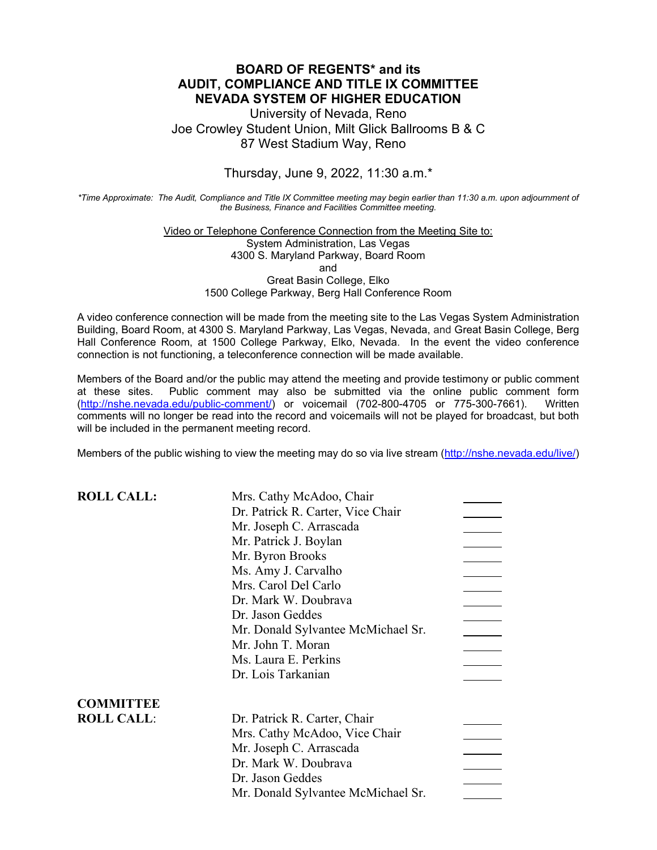## **BOARD OF REGENTS\* and its AUDIT, COMPLIANCE AND TITLE IX COMMITTEE NEVADA SYSTEM OF HIGHER EDUCATION**

University of Nevada, Reno Joe Crowley Student Union, Milt Glick Ballrooms B & C 87 West Stadium Way, Reno

Thursday, June 9, 2022, 11:30 a.m.\*

*\*Time Approximate: The Audit, Compliance and Title IX Committee meeting may begin earlier than 11:30 a.m. upon adjournment of the Business, Finance and Facilities Committee meeting.*

### Video or Telephone Conference Connection from the Meeting Site to: System Administration, Las Vegas 4300 S. Maryland Parkway, Board Room and Great Basin College, Elko 1500 College Parkway, Berg Hall Conference Room

A video conference connection will be made from the meeting site to the Las Vegas System Administration Building, Board Room, at 4300 S. Maryland Parkway, Las Vegas, Nevada, and Great Basin College, Berg Hall Conference Room, at 1500 College Parkway, Elko, Nevada. In the event the video conference connection is not functioning, a teleconference connection will be made available.

Members of the Board and/or the public may attend the meeting and provide testimony or public comment at these sites. Public comment may also be submitted via the online public comment form [\(http://nshe.nevada.edu/public-comment/\)](http://nshe.nevada.edu/public-comment/) or voicemail (702-800-4705 or 775-300-7661). Written comments will no longer be read into the record and voicemails will not be played for broadcast, but both will be included in the permanent meeting record.

Members of the public wishing to view the meeting may do so via live stream [\(http://nshe.nevada.edu/live/\)](http://nshe.nevada.edu/live/)

| <b>ROLL CALL:</b> | Mrs. Cathy McAdoo, Chair           |  |
|-------------------|------------------------------------|--|
|                   | Dr. Patrick R. Carter, Vice Chair  |  |
|                   | Mr. Joseph C. Arrascada            |  |
|                   | Mr. Patrick J. Boylan              |  |
|                   | Mr. Byron Brooks                   |  |
|                   | Ms. Amy J. Carvalho                |  |
|                   | Mrs. Carol Del Carlo               |  |
|                   | Dr. Mark W. Doubrava               |  |
|                   | Dr. Jason Geddes                   |  |
|                   | Mr. Donald Sylvantee McMichael Sr. |  |
|                   | Mr. John T. Moran                  |  |
|                   | Ms. Laura E. Perkins               |  |
|                   | Dr. Lois Tarkanian                 |  |
| <b>COMMITTEE</b>  |                                    |  |
| <b>ROLL CALL:</b> | Dr. Patrick R. Carter, Chair       |  |
|                   | Mrs. Cathy McAdoo, Vice Chair      |  |
|                   | Mr. Joseph C. Arrascada            |  |
|                   | Dr. Mark W. Doubrava               |  |
|                   | Dr. Jason Geddes                   |  |
|                   | Mr. Donald Sylvantee McMichael Sr. |  |
|                   |                                    |  |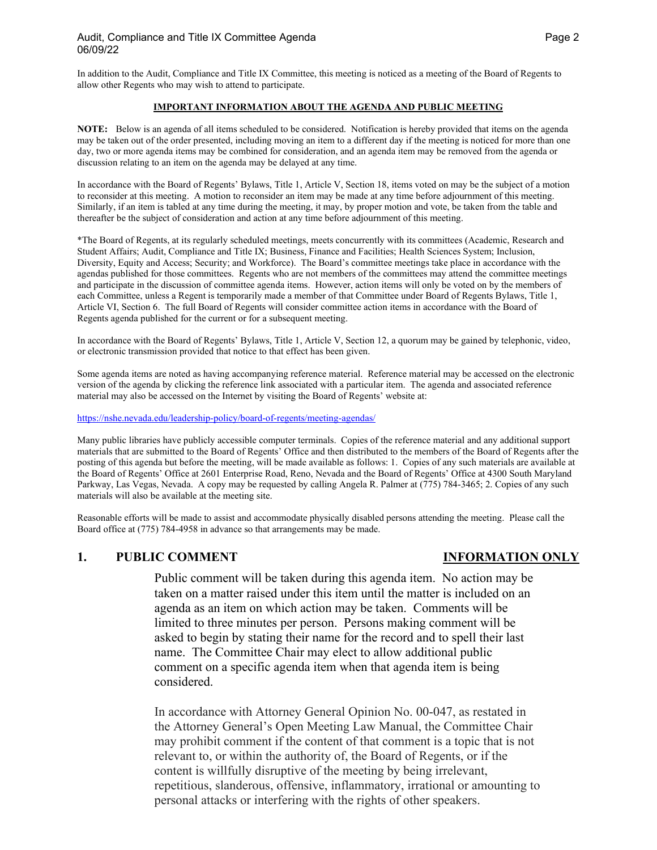In addition to the Audit, Compliance and Title IX Committee, this meeting is noticed as a meeting of the Board of Regents to allow other Regents who may wish to attend to participate.

### **IMPORTANT INFORMATION ABOUT THE AGENDA AND PUBLIC MEETING**

**NOTE:** Below is an agenda of all items scheduled to be considered. Notification is hereby provided that items on the agenda may be taken out of the order presented, including moving an item to a different day if the meeting is noticed for more than one day, two or more agenda items may be combined for consideration, and an agenda item may be removed from the agenda or discussion relating to an item on the agenda may be delayed at any time.

In accordance with the Board of Regents' Bylaws, Title 1, Article V, Section 18, items voted on may be the subject of a motion to reconsider at this meeting. A motion to reconsider an item may be made at any time before adjournment of this meeting. Similarly, if an item is tabled at any time during the meeting, it may, by proper motion and vote, be taken from the table and thereafter be the subject of consideration and action at any time before adjournment of this meeting.

\*The Board of Regents, at its regularly scheduled meetings, meets concurrently with its committees (Academic, Research and Student Affairs; Audit, Compliance and Title IX; Business, Finance and Facilities; Health Sciences System; Inclusion, Diversity, Equity and Access; Security; and Workforce). The Board's committee meetings take place in accordance with the agendas published for those committees. Regents who are not members of the committees may attend the committee meetings and participate in the discussion of committee agenda items. However, action items will only be voted on by the members of each Committee, unless a Regent is temporarily made a member of that Committee under Board of Regents Bylaws, Title 1, Article VI, Section 6. The full Board of Regents will consider committee action items in accordance with the Board of Regents agenda published for the current or for a subsequent meeting.

In accordance with the Board of Regents' Bylaws, Title 1, Article V, Section 12, a quorum may be gained by telephonic, video, or electronic transmission provided that notice to that effect has been given.

Some agenda items are noted as having accompanying reference material. Reference material may be accessed on the electronic version of the agenda by clicking the reference link associated with a particular item. The agenda and associated reference material may also be accessed on the Internet by visiting the Board of Regents' website at:

<https://nshe.nevada.edu/leadership-policy/board-of-regents/meeting-agendas/>

Many public libraries have publicly accessible computer terminals. Copies of the reference material and any additional support materials that are submitted to the Board of Regents' Office and then distributed to the members of the Board of Regents after the posting of this agenda but before the meeting, will be made available as follows: 1. Copies of any such materials are available at the Board of Regents' Office at 2601 Enterprise Road, Reno, Nevada and the Board of Regents' Office at 4300 South Maryland Parkway, Las Vegas, Nevada. A copy may be requested by calling Angela R. Palmer at (775) 784-3465; 2. Copies of any such materials will also be available at the meeting site.

Reasonable efforts will be made to assist and accommodate physically disabled persons attending the meeting. Please call the Board office at (775) 784-4958 in advance so that arrangements may be made.

### **1. PUBLIC COMMENT INFORMATION ONLY**

Public comment will be taken during this agenda item. No action may be taken on a matter raised under this item until the matter is included on an agenda as an item on which action may be taken. Comments will be limited to three minutes per person. Persons making comment will be asked to begin by stating their name for the record and to spell their last name. The Committee Chair may elect to allow additional public comment on a specific agenda item when that agenda item is being considered.

In accordance with Attorney General Opinion No. 00-047, as restated in the Attorney General's Open Meeting Law Manual, the Committee Chair may prohibit comment if the content of that comment is a topic that is not relevant to, or within the authority of, the Board of Regents, or if the content is willfully disruptive of the meeting by being irrelevant, repetitious, slanderous, offensive, inflammatory, irrational or amounting to personal attacks or interfering with the rights of other speakers.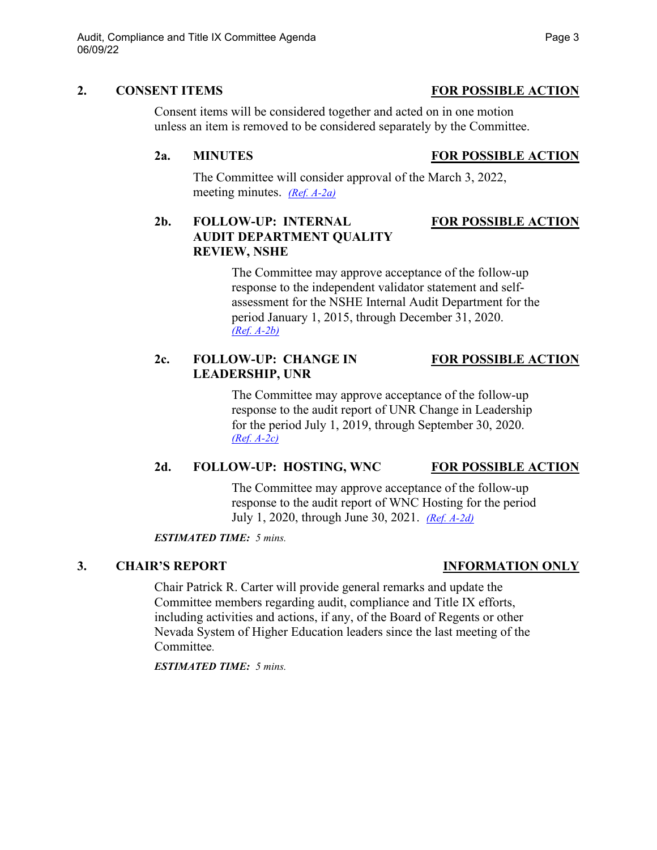## **2. CONSENT ITEMS FOR POSSIBLE ACTION**

Consent items will be considered together and acted on in one motion unless an item is removed to be considered separately by the Committee.

# **2a. MINUTES FOR POSSIBLE ACTION**

The Committee will consider approval of the March 3, 2022, meeting minutes. *[\(Ref. A-2a\)](https://nshe.nevada.edu/wp-content/uploads/file/BoardOfRegents/Agendas/2022/06-jun-mtgs/ac-refs/A-2a.pdf)*

# **2b. FOLLOW-UP: INTERNAL FOR POSSIBLE ACTION AUDIT DEPARTMENT QUALITY REVIEW, NSHE**

The Committee may approve acceptance of the follow-up response to the independent validator statement and selfassessment for the NSHE Internal Audit Department for the period January 1, 2015, through December 31, 2020. *[\(Ref. A-2b\)](https://nshe.nevada.edu/wp-content/uploads/file/BoardOfRegents/Agendas/2022/06-jun-mtgs/ac-refs/A-2b.pdf)*

# **2c. FOLLOW-UP: CHANGE IN FOR POSSIBLE ACTION LEADERSHIP, UNR**

The Committee may approve acceptance of the follow-up response to the audit report of UNR Change in Leadership for the period July 1, 2019, through September 30, 2020. *[\(Ref. A-2c\)](https://nshe.nevada.edu/wp-content/uploads/file/BoardOfRegents/Agendas/2022/06-jun-mtgs/ac-refs/A-2c.pdf)*

# **2d. FOLLOW-UP: HOSTING, WNC FOR POSSIBLE ACTION**

The Committee may approve acceptance of the follow-up response to the audit report of WNC Hosting for the period July 1, 2020, through June 30, 2021. *[\(Ref. A-2d\)](https://nshe.nevada.edu/wp-content/uploads/file/BoardOfRegents/Agendas/2022/06-jun-mtgs/ac-refs/A-2d.pdf)*

*ESTIMATED TIME: 5 mins.*

# **3. CHAIR'S REPORT INFORMATION ONLY**

Chair Patrick R. Carter will provide general remarks and update the Committee members regarding audit, compliance and Title IX efforts, including activities and actions, if any, of the Board of Regents or other Nevada System of Higher Education leaders since the last meeting of the **Committee** 

*ESTIMATED TIME: 5 mins.*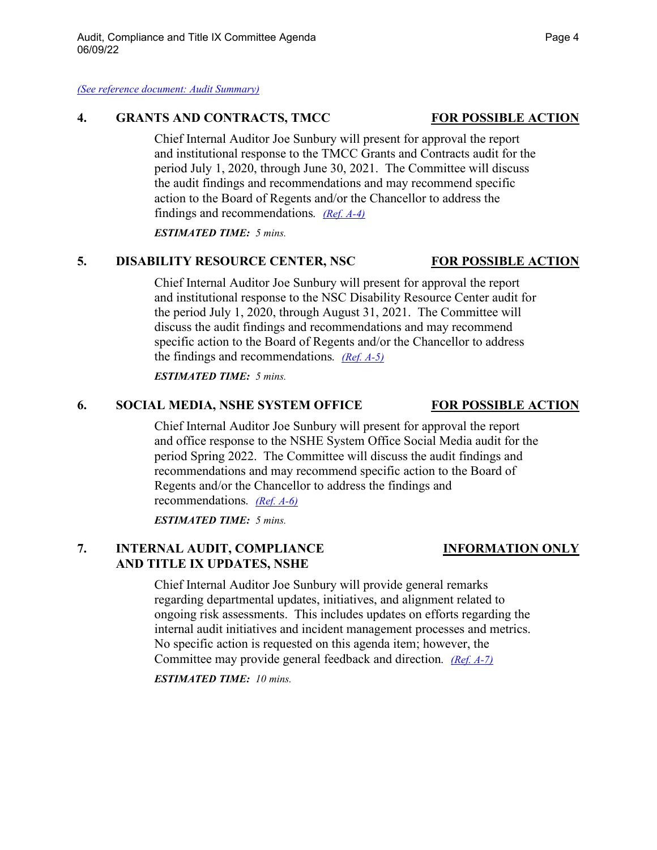*[\(See reference document: Audit Summary\)](https://nshe.nevada.edu/wp-content/uploads/file/BoardOfRegents/Agendas/2022/06-jun-mtgs/ac-refs/Audit%20Summary.pdf)*

### **4. GRANTS AND CONTRACTS, TMCC FOR POSSIBLE ACTION**

Chief Internal Auditor Joe Sunbury will present for approval the report and institutional response to the TMCC Grants and Contracts audit for the period July 1, 2020, through June 30, 2021. The Committee will discuss the audit findings and recommendations and may recommend specific action to the Board of Regents and/or the Chancellor to address the findings and recommendations*. [\(Ref. A-4\)](https://nshe.nevada.edu/wp-content/uploads/file/BoardOfRegents/Agendas/2022/06-jun-mtgs/ac-refs/A-4.pdf)*

*ESTIMATED TIME: 5 mins.*

## **5. DISABILITY RESOURCE CENTER, NSC FOR POSSIBLE ACTION**

Chief Internal Auditor Joe Sunbury will present for approval the report and institutional response to the NSC Disability Resource Center audit for the period July 1, 2020, through August 31, 2021. The Committee will discuss the audit findings and recommendations and may recommend specific action to the Board of Regents and/or the Chancellor to address the findings and recommendations*. [\(Ref. A-5\)](https://nshe.nevada.edu/wp-content/uploads/file/BoardOfRegents/Agendas/2022/06-jun-mtgs/ac-refs/A-5.pdf)*

*ESTIMATED TIME: 5 mins.*

## **6. SOCIAL MEDIA, NSHE SYSTEM OFFICE FOR POSSIBLE ACTION**

Chief Internal Auditor Joe Sunbury will present for approval the report and office response to the NSHE System Office Social Media audit for the period Spring 2022. The Committee will discuss the audit findings and recommendations and may recommend specific action to the Board of Regents and/or the Chancellor to address the findings and recommendations*. [\(Ref. A-6\)](https://nshe.nevada.edu/wp-content/uploads/file/BoardOfRegents/Agendas/2022/06-jun-mtgs/ac-refs/A-6.pdf)*

*ESTIMATED TIME: 5 mins.*

# **7. INTERNAL AUDIT, COMPLIANCE INFORMATION ONLY AND TITLE IX UPDATES, NSHE**

Chief Internal Auditor Joe Sunbury will provide general remarks regarding departmental updates, initiatives, and alignment related to ongoing risk assessments. This includes updates on efforts regarding the internal audit initiatives and incident management processes and metrics. No specific action is requested on this agenda item; however, the Committee may provide general feedback and direction*. [\(Ref. A-7\)](https://nshe.nevada.edu/wp-content/uploads/file/BoardOfRegents/Agendas/2022/06-jun-mtgs/ac-refs/A-7.pdf)*

*ESTIMATED TIME: 10 mins.*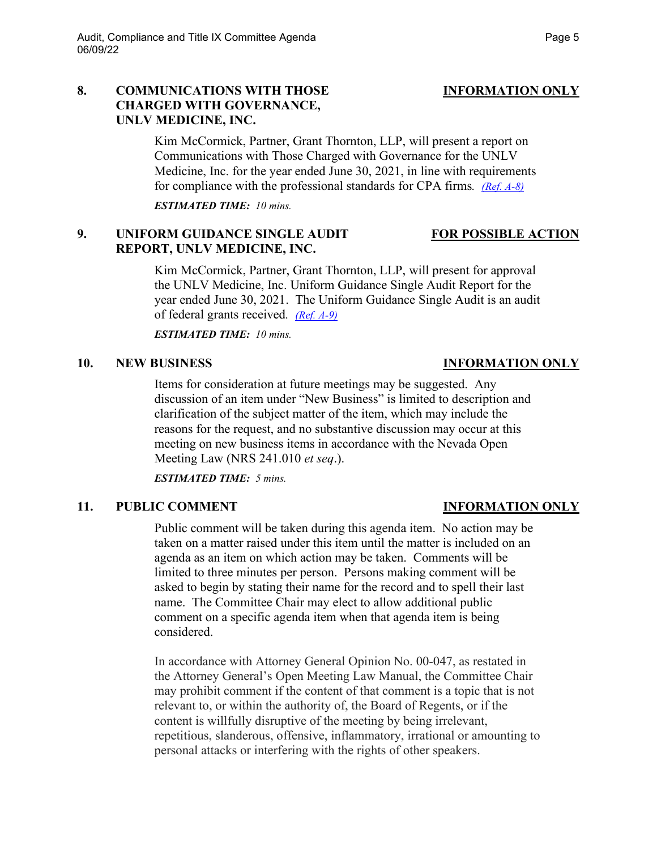## **8. COMMUNICATIONS WITH THOSE INFORMATION ONLY CHARGED WITH GOVERNANCE, UNLV MEDICINE, INC.**

Kim McCormick, Partner, Grant Thornton, LLP, will present a report on Communications with Those Charged with Governance for the UNLV Medicine, Inc. for the year ended June 30, 2021, in line with requirements for compliance with the professional standards for CPA firms*. [\(Ref. A-8\)](https://nshe.nevada.edu/wp-content/uploads/file/BoardOfRegents/Agendas/2022/06-jun-mtgs/ac-refs/A-8.pdf)*

*ESTIMATED TIME: 10 mins.*

# **9. UNIFORM GUIDANCE SINGLE AUDIT FOR POSSIBLE ACTION REPORT, UNLV MEDICINE, INC.**

Kim McCormick, Partner, Grant Thornton, LLP, will present for approval the UNLV Medicine, Inc. Uniform Guidance Single Audit Report for the year ended June 30, 2021. The Uniform Guidance Single Audit is an audit of federal grants received*. [\(Ref. A-9\)](https://nshe.nevada.edu/wp-content/uploads/file/BoardOfRegents/Agendas/2022/06-jun-mtgs/ac-refs/A-9.pdf)*

*ESTIMATED TIME: 10 mins.*

## **10. NEW BUSINESS INFORMATION ONLY**

Items for consideration at future meetings may be suggested. Any discussion of an item under "New Business" is limited to description and clarification of the subject matter of the item, which may include the reasons for the request, and no substantive discussion may occur at this meeting on new business items in accordance with the Nevada Open Meeting Law (NRS 241.010 *et seq*.).

*ESTIMATED TIME: 5 mins.*

# **11. PUBLIC COMMENT INFORMATION ONLY**

Public comment will be taken during this agenda item. No action may be taken on a matter raised under this item until the matter is included on an agenda as an item on which action may be taken. Comments will be limited to three minutes per person. Persons making comment will be asked to begin by stating their name for the record and to spell their last name. The Committee Chair may elect to allow additional public comment on a specific agenda item when that agenda item is being considered.

In accordance with Attorney General Opinion No. 00-047, as restated in the Attorney General's Open Meeting Law Manual, the Committee Chair may prohibit comment if the content of that comment is a topic that is not relevant to, or within the authority of, the Board of Regents, or if the content is willfully disruptive of the meeting by being irrelevant, repetitious, slanderous, offensive, inflammatory, irrational or amounting to personal attacks or interfering with the rights of other speakers.